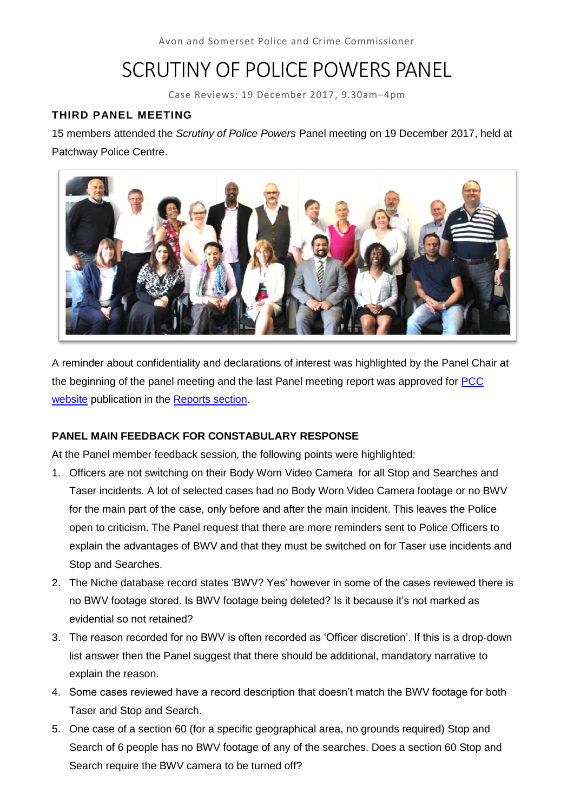# SCRUTINY OF POLICE POWERS PANEL

Case Reviews: 19 December 2017, 9.30am–4pm

### **THIRD PANEL MEETING**

15 members attended the *Scrutiny of Police Powers* Panel meeting on 19 December 2017, held at Patchway Police Centre.



A reminder about confidentiality and declarations of interest was highlighted by the Panel Chair at the beginning of the panel meeting and the last Panel meeting report was approved for [PCC](http://www.avonandsomerset-pcc.gov.uk/Openness/Scrutiny.aspx)  [website](http://www.avonandsomerset-pcc.gov.uk/Openness/Scrutiny.aspx) publication in the [Reports section.](http://www.avonandsomerset-pcc.gov.uk/Openness/Scrutiny/Scrutiny-of-Police-Powers-Panel-Reports.aspx)

### **PANEL MAIN FEEDBACK FOR CONSTABULARY RESPONSE**

At the Panel member feedback session, the following points were highlighted:

- 1. Officers are not switching on their Body Worn Video Camera for all Stop and Searches and Taser incidents. A lot of selected cases had no Body Worn Video Camera footage or no BWV for the main part of the case, only before and after the main incident. This leaves the Police open to criticism. The Panel request that there are more reminders sent to Police Officers to explain the advantages of BWV and that they must be switched on for Taser use incidents and Stop and Searches.
- 2. The Niche database record states 'BWV? Yes' however in some of the cases reviewed there is no BWV footage stored. Is BWV footage being deleted? Is it because it's not marked as evidential so not retained?
- 3. The reason recorded for no BWV is often recorded as 'Officer discretion'. If this is a drop-down list answer then the Panel suggest that there should be additional, mandatory narrative to explain the reason.
- 4. Some cases reviewed have a record description that doesn't match the BWV footage for both Taser and Stop and Search.
- 5. One case of a section 60 (for a specific geographical area, no grounds required) Stop and Search of 6 people has no BWV footage of any of the searches. Does a section 60 Stop and Search require the BWV camera to be turned off?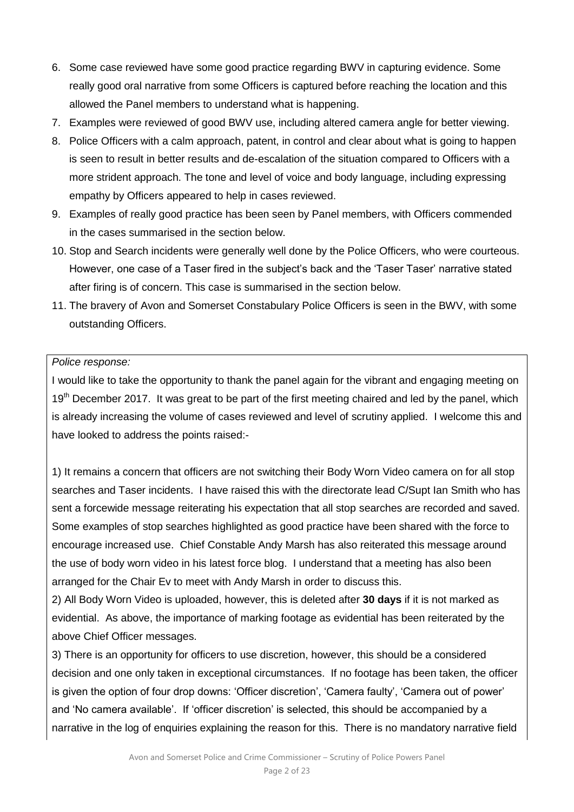- 6. Some case reviewed have some good practice regarding BWV in capturing evidence. Some really good oral narrative from some Officers is captured before reaching the location and this allowed the Panel members to understand what is happening.
- 7. Examples were reviewed of good BWV use, including altered camera angle for better viewing.
- 8. Police Officers with a calm approach, patent, in control and clear about what is going to happen is seen to result in better results and de-escalation of the situation compared to Officers with a more strident approach. The tone and level of voice and body language, including expressing empathy by Officers appeared to help in cases reviewed.
- 9. Examples of really good practice has been seen by Panel members, with Officers commended in the cases summarised in the section below.
- 10. Stop and Search incidents were generally well done by the Police Officers, who were courteous. However, one case of a Taser fired in the subject's back and the 'Taser Taser' narrative stated after firing is of concern. This case is summarised in the section below.
- 11. The bravery of Avon and Somerset Constabulary Police Officers is seen in the BWV, with some outstanding Officers.

#### *Police response:*

I would like to take the opportunity to thank the panel again for the vibrant and engaging meeting on 19<sup>th</sup> December 2017. It was great to be part of the first meeting chaired and led by the panel, which is already increasing the volume of cases reviewed and level of scrutiny applied. I welcome this and have looked to address the points raised:-

1) It remains a concern that officers are not switching their Body Worn Video camera on for all stop searches and Taser incidents. I have raised this with the directorate lead C/Supt Ian Smith who has sent a forcewide message reiterating his expectation that all stop searches are recorded and saved. Some examples of stop searches highlighted as good practice have been shared with the force to encourage increased use. Chief Constable Andy Marsh has also reiterated this message around the use of body worn video in his latest force blog. I understand that a meeting has also been arranged for the Chair Ev to meet with Andy Marsh in order to discuss this.

2) All Body Worn Video is uploaded, however, this is deleted after **30 days** if it is not marked as evidential. As above, the importance of marking footage as evidential has been reiterated by the above Chief Officer messages.

3) There is an opportunity for officers to use discretion, however, this should be a considered decision and one only taken in exceptional circumstances. If no footage has been taken, the officer is given the option of four drop downs: 'Officer discretion', 'Camera faulty', 'Camera out of power' and 'No camera available'. If 'officer discretion' is selected, this should be accompanied by a narrative in the log of enquiries explaining the reason for this. There is no mandatory narrative field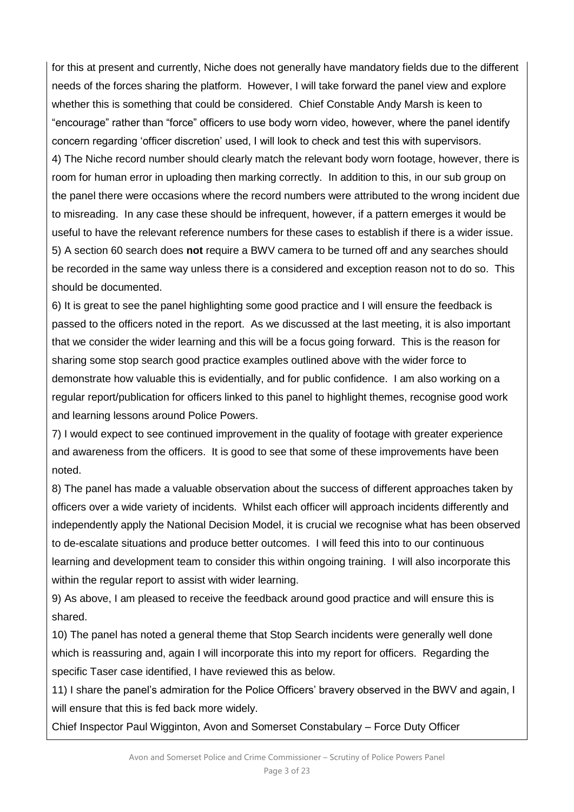for this at present and currently, Niche does not generally have mandatory fields due to the different needs of the forces sharing the platform. However, I will take forward the panel view and explore whether this is something that could be considered. Chief Constable Andy Marsh is keen to "encourage" rather than "force" officers to use body worn video, however, where the panel identify concern regarding 'officer discretion' used, I will look to check and test this with supervisors. 4) The Niche record number should clearly match the relevant body worn footage, however, there is room for human error in uploading then marking correctly. In addition to this, in our sub group on the panel there were occasions where the record numbers were attributed to the wrong incident due to misreading. In any case these should be infrequent, however, if a pattern emerges it would be useful to have the relevant reference numbers for these cases to establish if there is a wider issue. 5) A section 60 search does **not** require a BWV camera to be turned off and any searches should be recorded in the same way unless there is a considered and exception reason not to do so. This should be documented.

6) It is great to see the panel highlighting some good practice and I will ensure the feedback is passed to the officers noted in the report. As we discussed at the last meeting, it is also important that we consider the wider learning and this will be a focus going forward. This is the reason for sharing some stop search good practice examples outlined above with the wider force to demonstrate how valuable this is evidentially, and for public confidence. I am also working on a regular report/publication for officers linked to this panel to highlight themes, recognise good work and learning lessons around Police Powers.

7) I would expect to see continued improvement in the quality of footage with greater experience and awareness from the officers. It is good to see that some of these improvements have been noted.

8) The panel has made a valuable observation about the success of different approaches taken by officers over a wide variety of incidents. Whilst each officer will approach incidents differently and independently apply the National Decision Model, it is crucial we recognise what has been observed to de-escalate situations and produce better outcomes. I will feed this into to our continuous learning and development team to consider this within ongoing training. I will also incorporate this within the regular report to assist with wider learning.

9) As above, I am pleased to receive the feedback around good practice and will ensure this is shared.

10) The panel has noted a general theme that Stop Search incidents were generally well done which is reassuring and, again I will incorporate this into my report for officers. Regarding the specific Taser case identified, I have reviewed this as below.

11) I share the panel's admiration for the Police Officers' bravery observed in the BWV and again, I will ensure that this is fed back more widely.

Chief Inspector Paul Wigginton, Avon and Somerset Constabulary – Force Duty Officer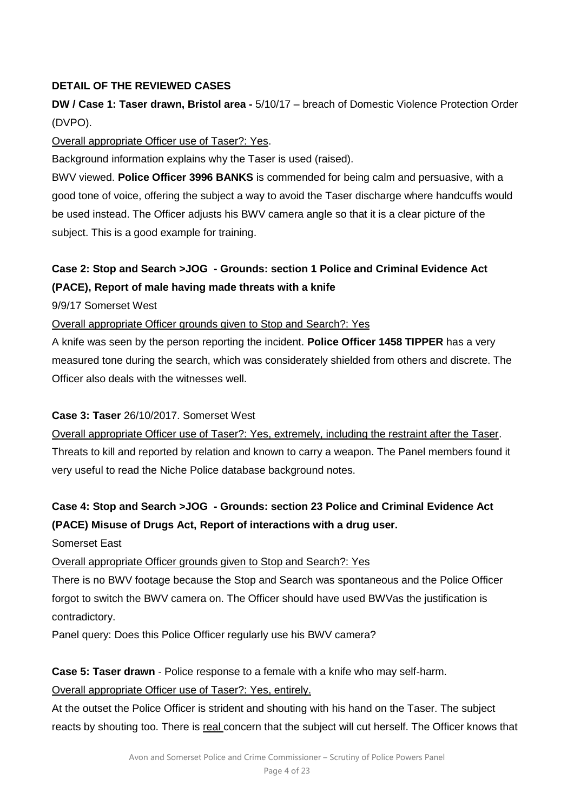## **DETAIL OF THE REVIEWED CASES**

# **DW / Case 1: Taser drawn, Bristol area -** 5/10/17 – breach of Domestic Violence Protection Order (DVPO).

#### Overall appropriate Officer use of Taser?: Yes.

Background information explains why the Taser is used (raised).

BWV viewed. **Police Officer 3996 BANKS** is commended for being calm and persuasive, with a good tone of voice, offering the subject a way to avoid the Taser discharge where handcuffs would be used instead. The Officer adjusts his BWV camera angle so that it is a clear picture of the subject. This is a good example for training.

# **Case 2: Stop and Search >JOG - Grounds: section 1 Police and Criminal Evidence Act (PACE), Report of male having made threats with a knife**

9/9/17 Somerset West

Overall appropriate Officer grounds given to Stop and Search?: Yes

A knife was seen by the person reporting the incident. **Police Officer 1458 TIPPER** has a very measured tone during the search, which was considerately shielded from others and discrete. The Officer also deals with the witnesses well.

### **Case 3: Taser** 26/10/2017. Somerset West

Overall appropriate Officer use of Taser?: Yes, extremely, including the restraint after the Taser. Threats to kill and reported by relation and known to carry a weapon. The Panel members found it very useful to read the Niche Police database background notes.

# **Case 4: Stop and Search >JOG - Grounds: section 23 Police and Criminal Evidence Act (PACE) Misuse of Drugs Act, Report of interactions with a drug user.**

Somerset East

Overall appropriate Officer grounds given to Stop and Search?: Yes

There is no BWV footage because the Stop and Search was spontaneous and the Police Officer forgot to switch the BWV camera on. The Officer should have used BWVas the justification is contradictory.

Panel query: Does this Police Officer regularly use his BWV camera?

**Case 5: Taser drawn** - Police response to a female with a knife who may self-harm.

Overall appropriate Officer use of Taser?: Yes, entirely.

At the outset the Police Officer is strident and shouting with his hand on the Taser. The subject reacts by shouting too. There is real concern that the subject will cut herself. The Officer knows that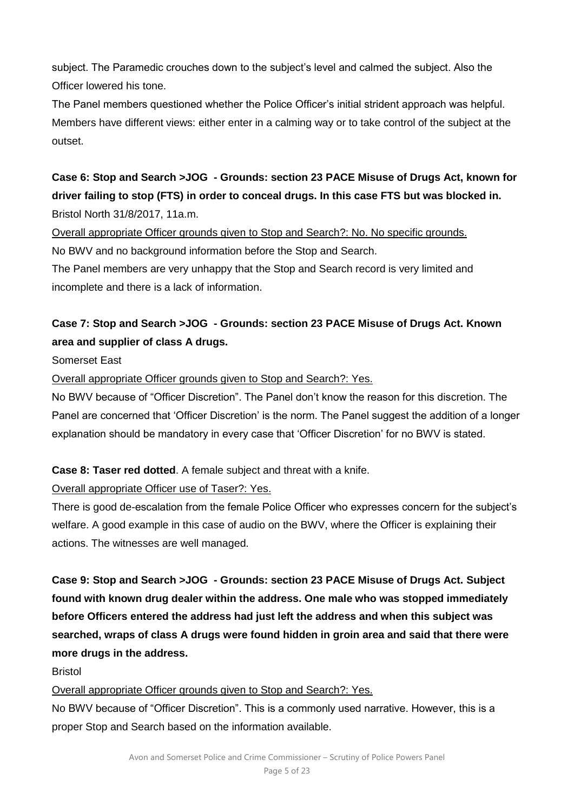subject. The Paramedic crouches down to the subject's level and calmed the subject. Also the Officer lowered his tone.

The Panel members questioned whether the Police Officer's initial strident approach was helpful. Members have different views: either enter in a calming way or to take control of the subject at the outset.

**Case 6: Stop and Search >JOG - Grounds: section 23 PACE Misuse of Drugs Act, known for driver failing to stop (FTS) in order to conceal drugs. In this case FTS but was blocked in.**  Bristol North 31/8/2017, 11a.m.

Overall appropriate Officer grounds given to Stop and Search?: No. No specific grounds. No BWV and no background information before the Stop and Search.

The Panel members are very unhappy that the Stop and Search record is very limited and incomplete and there is a lack of information.

# **Case 7: Stop and Search >JOG - Grounds: section 23 PACE Misuse of Drugs Act. Known area and supplier of class A drugs.**

Somerset East

Overall appropriate Officer grounds given to Stop and Search?: Yes.

No BWV because of "Officer Discretion". The Panel don't know the reason for this discretion. The Panel are concerned that 'Officer Discretion' is the norm. The Panel suggest the addition of a longer explanation should be mandatory in every case that 'Officer Discretion' for no BWV is stated.

**Case 8: Taser red dotted**. A female subject and threat with a knife.

Overall appropriate Officer use of Taser?: Yes.

There is good de-escalation from the female Police Officer who expresses concern for the subject's welfare. A good example in this case of audio on the BWV, where the Officer is explaining their actions. The witnesses are well managed.

**Case 9: Stop and Search >JOG - Grounds: section 23 PACE Misuse of Drugs Act. Subject found with known drug dealer within the address. One male who was stopped immediately before Officers entered the address had just left the address and when this subject was searched, wraps of class A drugs were found hidden in groin area and said that there were more drugs in the address.**

Bristol

Overall appropriate Officer grounds given to Stop and Search?: Yes.

No BWV because of "Officer Discretion". This is a commonly used narrative. However, this is a proper Stop and Search based on the information available.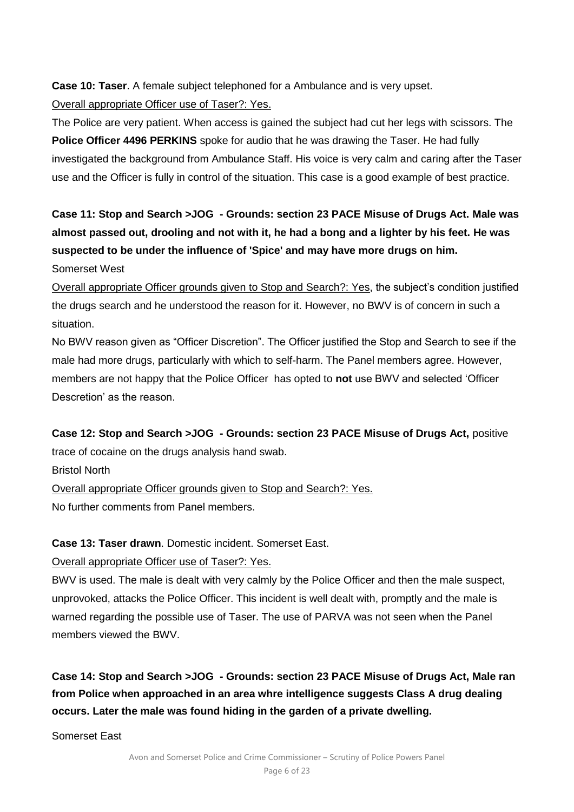**Case 10: Taser**. A female subject telephoned for a Ambulance and is very upset. Overall appropriate Officer use of Taser?: Yes.

The Police are very patient. When access is gained the subject had cut her legs with scissors. The **Police Officer 4496 PERKINS** spoke for audio that he was drawing the Taser. He had fully investigated the background from Ambulance Staff. His voice is very calm and caring after the Taser use and the Officer is fully in control of the situation. This case is a good example of best practice.

**Case 11: Stop and Search >JOG - Grounds: section 23 PACE Misuse of Drugs Act. Male was almost passed out, drooling and not with it, he had a bong and a lighter by his feet. He was suspected to be under the influence of 'Spice' and may have more drugs on him.** Somerset West

Overall appropriate Officer grounds given to Stop and Search?: Yes, the subject's condition justified the drugs search and he understood the reason for it. However, no BWV is of concern in such a situation.

No BWV reason given as "Officer Discretion". The Officer justified the Stop and Search to see if the male had more drugs, particularly with which to self-harm. The Panel members agree. However, members are not happy that the Police Officer has opted to **not** use BWV and selected 'Officer Descretion' as the reason.

**Case 12: Stop and Search >JOG - Grounds: section 23 PACE Misuse of Drugs Act,** positive trace of cocaine on the drugs analysis hand swab.

Bristol North

Overall appropriate Officer grounds given to Stop and Search?: Yes.

No further comments from Panel members.

## **Case 13: Taser drawn**. Domestic incident. Somerset East.

## Overall appropriate Officer use of Taser?: Yes.

BWV is used. The male is dealt with very calmly by the Police Officer and then the male suspect, unprovoked, attacks the Police Officer. This incident is well dealt with, promptly and the male is warned regarding the possible use of Taser. The use of PARVA was not seen when the Panel members viewed the BWV.

**Case 14: Stop and Search >JOG - Grounds: section 23 PACE Misuse of Drugs Act, Male ran from Police when approached in an area whre intelligence suggests Class A drug dealing occurs. Later the male was found hiding in the garden of a private dwelling.** 

Somerset East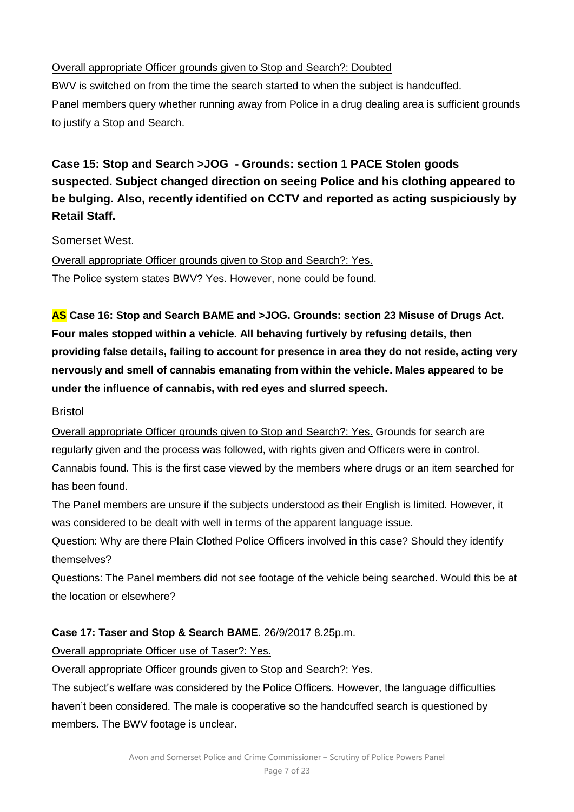## Overall appropriate Officer grounds given to Stop and Search?: Doubted

BWV is switched on from the time the search started to when the subject is handcuffed. Panel members query whether running away from Police in a drug dealing area is sufficient grounds to justify a Stop and Search.

# **Case 15: Stop and Search >JOG - Grounds: section 1 PACE Stolen goods suspected. Subject changed direction on seeing Police and his clothing appeared to be bulging. Also, recently identified on CCTV and reported as acting suspiciously by Retail Staff.**

Somerset West.

Overall appropriate Officer grounds given to Stop and Search?: Yes. The Police system states BWV? Yes. However, none could be found.

**AS Case 16: Stop and Search BAME and >JOG. Grounds: section 23 Misuse of Drugs Act. Four males stopped within a vehicle. All behaving furtively by refusing details, then providing false details, failing to account for presence in area they do not reside, acting very nervously and smell of cannabis emanating from within the vehicle. Males appeared to be under the influence of cannabis, with red eyes and slurred speech.**

## Bristol

Overall appropriate Officer grounds given to Stop and Search?: Yes. Grounds for search are regularly given and the process was followed, with rights given and Officers were in control. Cannabis found. This is the first case viewed by the members where drugs or an item searched for has been found.

The Panel members are unsure if the subjects understood as their English is limited. However, it was considered to be dealt with well in terms of the apparent language issue.

Question: Why are there Plain Clothed Police Officers involved in this case? Should they identify themselves?

Questions: The Panel members did not see footage of the vehicle being searched. Would this be at the location or elsewhere?

## **Case 17: Taser and Stop & Search BAME**. 26/9/2017 8.25p.m.

Overall appropriate Officer use of Taser?: Yes.

Overall appropriate Officer grounds given to Stop and Search?: Yes.

The subject's welfare was considered by the Police Officers. However, the language difficulties haven't been considered. The male is cooperative so the handcuffed search is questioned by members. The BWV footage is unclear.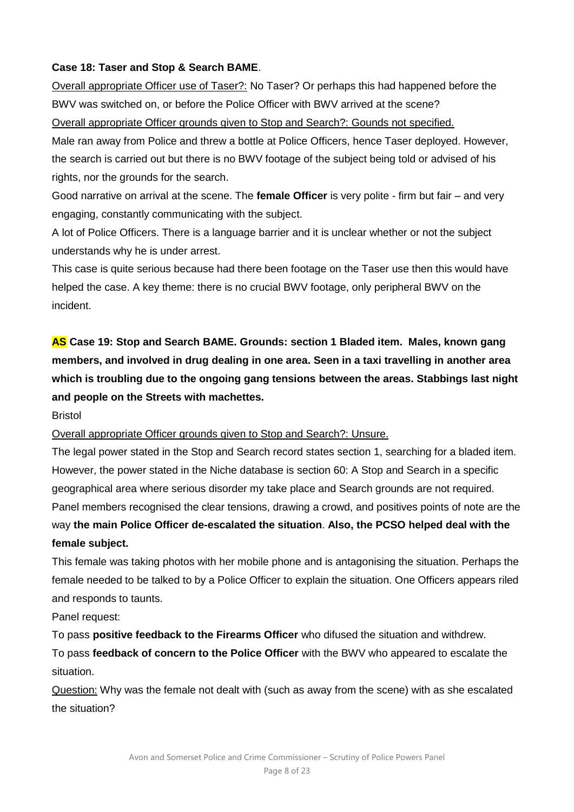## **Case 18: Taser and Stop & Search BAME**.

Overall appropriate Officer use of Taser?: No Taser? Or perhaps this had happened before the BWV was switched on, or before the Police Officer with BWV arrived at the scene? Overall appropriate Officer grounds given to Stop and Search?: Gounds not specified.

Male ran away from Police and threw a bottle at Police Officers, hence Taser deployed. However, the search is carried out but there is no BWV footage of the subject being told or advised of his rights, nor the grounds for the search.

Good narrative on arrival at the scene. The **female Officer** is very polite - firm but fair – and very engaging, constantly communicating with the subject.

A lot of Police Officers. There is a language barrier and it is unclear whether or not the subject understands why he is under arrest.

This case is quite serious because had there been footage on the Taser use then this would have helped the case. A key theme: there is no crucial BWV footage, only peripheral BWV on the incident.

**AS Case 19: Stop and Search BAME. Grounds: section 1 Bladed item. Males, known gang members, and involved in drug dealing in one area. Seen in a taxi travelling in another area which is troubling due to the ongoing gang tensions between the areas. Stabbings last night and people on the Streets with machettes.** 

Bristol

Overall appropriate Officer grounds given to Stop and Search?: Unsure.

The legal power stated in the Stop and Search record states section 1, searching for a bladed item. However, the power stated in the Niche database is section 60: A Stop and Search in a specific geographical area where serious disorder my take place and Search grounds are not required. Panel members recognised the clear tensions, drawing a crowd, and positives points of note are the way **the main Police Officer de-escalated the situation**. **Also, the PCSO helped deal with the female subject.**

This female was taking photos with her mobile phone and is antagonising the situation. Perhaps the female needed to be talked to by a Police Officer to explain the situation. One Officers appears riled and responds to taunts.

Panel request:

To pass **positive feedback to the Firearms Officer** who difused the situation and withdrew. To pass **feedback of concern to the Police Officer** with the BWV who appeared to escalate the situation.

Question: Why was the female not dealt with (such as away from the scene) with as she escalated the situation?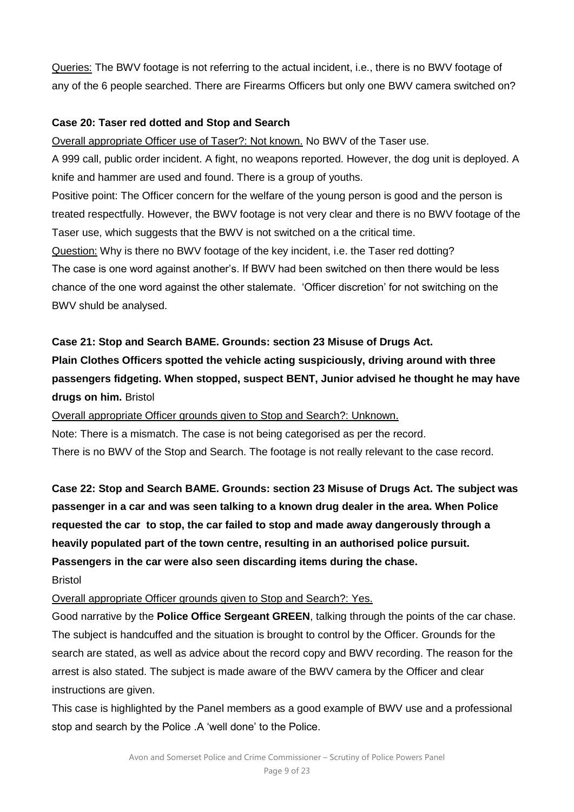Queries: The BWV footage is not referring to the actual incident, i.e., there is no BWV footage of any of the 6 people searched. There are Firearms Officers but only one BWV camera switched on?

### **Case 20: Taser red dotted and Stop and Search**

Overall appropriate Officer use of Taser?: Not known. No BWV of the Taser use.

A 999 call, public order incident. A fight, no weapons reported. However, the dog unit is deployed. A knife and hammer are used and found. There is a group of youths.

Positive point: The Officer concern for the welfare of the young person is good and the person is treated respectfully. However, the BWV footage is not very clear and there is no BWV footage of the Taser use, which suggests that the BWV is not switched on a the critical time.

Question: Why is there no BWV footage of the key incident, i.e. the Taser red dotting? The case is one word against another's. If BWV had been switched on then there would be less chance of the one word against the other stalemate. 'Officer discretion' for not switching on the BWV shuld be analysed.

#### **Case 21: Stop and Search BAME. Grounds: section 23 Misuse of Drugs Act.**

**Plain Clothes Officers spotted the vehicle acting suspiciously, driving around with three passengers fidgeting. When stopped, suspect BENT, Junior advised he thought he may have drugs on him.** Bristol

Overall appropriate Officer grounds given to Stop and Search?: Unknown.

Note: There is a mismatch. The case is not being categorised as per the record.

There is no BWV of the Stop and Search. The footage is not really relevant to the case record.

**Case 22: Stop and Search BAME. Grounds: section 23 Misuse of Drugs Act. The subject was passenger in a car and was seen talking to a known drug dealer in the area. When Police requested the car to stop, the car failed to stop and made away dangerously through a heavily populated part of the town centre, resulting in an authorised police pursuit. Passengers in the car were also seen discarding items during the chase.**

Bristol

Overall appropriate Officer grounds given to Stop and Search?: Yes.

Good narrative by the **Police Office Sergeant GREEN**, talking through the points of the car chase. The subject is handcuffed and the situation is brought to control by the Officer. Grounds for the search are stated, as well as advice about the record copy and BWV recording. The reason for the arrest is also stated. The subject is made aware of the BWV camera by the Officer and clear instructions are given.

This case is highlighted by the Panel members as a good example of BWV use and a professional stop and search by the Police .A 'well done' to the Police.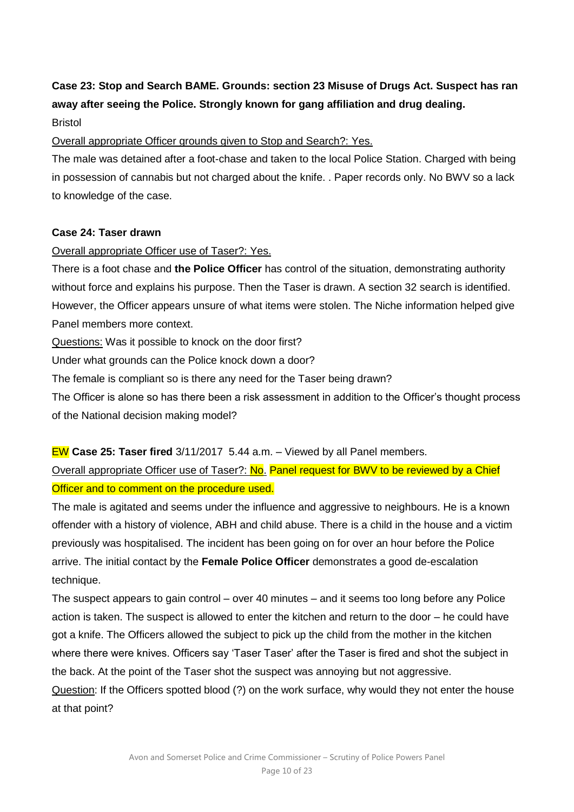# **Case 23: Stop and Search BAME. Grounds: section 23 Misuse of Drugs Act. Suspect has ran away after seeing the Police. Strongly known for gang affiliation and drug dealing.**

Bristol

Overall appropriate Officer grounds given to Stop and Search?: Yes.

The male was detained after a foot-chase and taken to the local Police Station. Charged with being in possession of cannabis but not charged about the knife. . Paper records only. No BWV so a lack to knowledge of the case.

### **Case 24: Taser drawn**

## Overall appropriate Officer use of Taser?: Yes.

There is a foot chase and **the Police Officer** has control of the situation, demonstrating authority without force and explains his purpose. Then the Taser is drawn. A section 32 search is identified. However, the Officer appears unsure of what items were stolen. The Niche information helped give Panel members more context.

Questions: Was it possible to knock on the door first?

Under what grounds can the Police knock down a door?

The female is compliant so is there any need for the Taser being drawn?

The Officer is alone so has there been a risk assessment in addition to the Officer's thought process of the National decision making model?

## EW **Case 25: Taser fired** 3/11/2017 5.44 a.m. – Viewed by all Panel members.

Overall appropriate Officer use of Taser?: No. Panel request for BWV to be reviewed by a Chief Officer and to comment on the procedure used.

The male is agitated and seems under the influence and aggressive to neighbours. He is a known offender with a history of violence, ABH and child abuse. There is a child in the house and a victim previously was hospitalised. The incident has been going on for over an hour before the Police arrive. The initial contact by the **Female Police Officer** demonstrates a good de-escalation technique.

The suspect appears to gain control – over 40 minutes – and it seems too long before any Police action is taken. The suspect is allowed to enter the kitchen and return to the door – he could have got a knife. The Officers allowed the subject to pick up the child from the mother in the kitchen where there were knives. Officers say 'Taser Taser' after the Taser is fired and shot the subject in the back. At the point of the Taser shot the suspect was annoying but not aggressive.

Question: If the Officers spotted blood (?) on the work surface, why would they not enter the house at that point?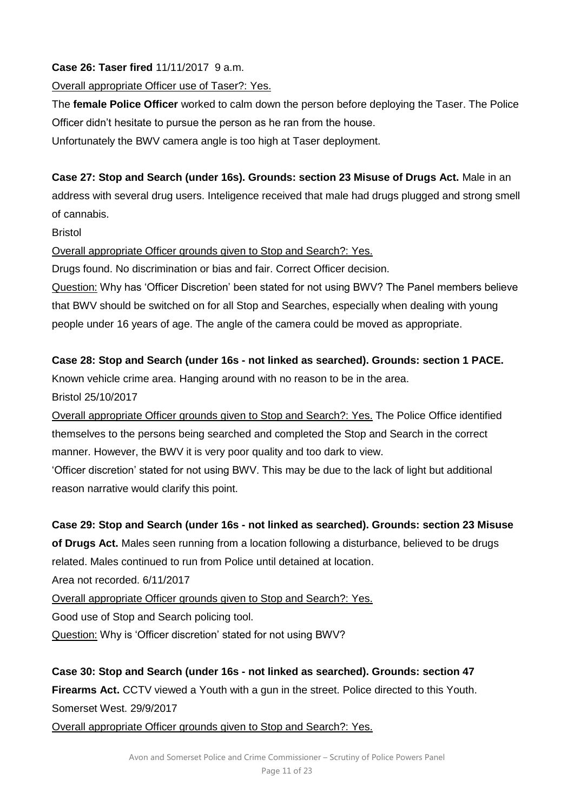## **Case 26: Taser fired** 11/11/2017 9 a.m.

## Overall appropriate Officer use of Taser?: Yes.

The **female Police Officer** worked to calm down the person before deploying the Taser. The Police Officer didn't hesitate to pursue the person as he ran from the house.

Unfortunately the BWV camera angle is too high at Taser deployment.

## **Case 27: Stop and Search (under 16s). Grounds: section 23 Misuse of Drugs Act.** Male in an

address with several drug users. Inteligence received that male had drugs plugged and strong smell of cannabis.

Bristol

## Overall appropriate Officer grounds given to Stop and Search?: Yes.

Drugs found. No discrimination or bias and fair. Correct Officer decision.

Question: Why has 'Officer Discretion' been stated for not using BWV? The Panel members believe that BWV should be switched on for all Stop and Searches, especially when dealing with young people under 16 years of age. The angle of the camera could be moved as appropriate.

## **Case 28: Stop and Search (under 16s - not linked as searched). Grounds: section 1 PACE.**

Known vehicle crime area. Hanging around with no reason to be in the area.

Bristol 25/10/2017

Overall appropriate Officer grounds given to Stop and Search?: Yes. The Police Office identified themselves to the persons being searched and completed the Stop and Search in the correct manner. However, the BWV it is very poor quality and too dark to view.

'Officer discretion' stated for not using BWV. This may be due to the lack of light but additional reason narrative would clarify this point.

## **Case 29: Stop and Search (under 16s - not linked as searched). Grounds: section 23 Misuse**

**of Drugs Act.** Males seen running from a location following a disturbance, believed to be drugs related. Males continued to run from Police until detained at location.

Area not recorded. 6/11/2017

Overall appropriate Officer grounds given to Stop and Search?: Yes.

Good use of Stop and Search policing tool.

Question: Why is 'Officer discretion' stated for not using BWV?

**Case 30: Stop and Search (under 16s - not linked as searched). Grounds: section 47 Firearms Act.** CCTV viewed a Youth with a gun in the street. Police directed to this Youth. Somerset West. 29/9/2017

Overall appropriate Officer grounds given to Stop and Search?: Yes.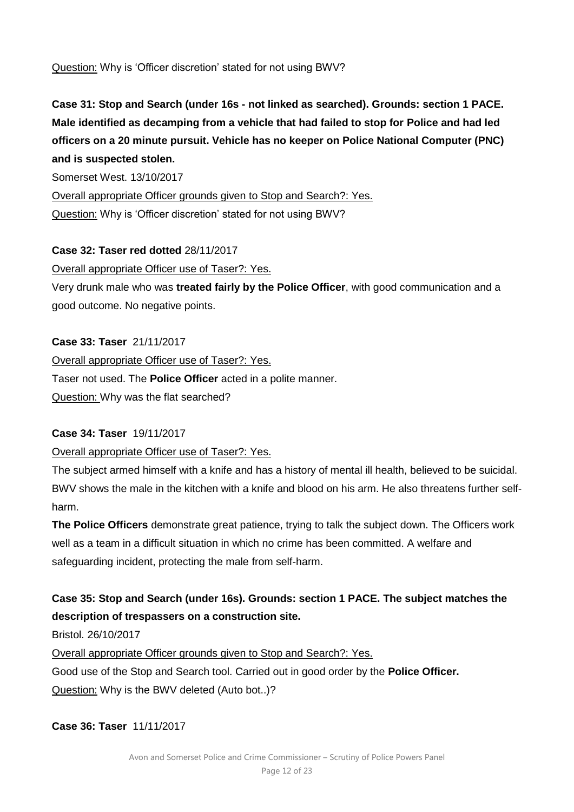Question: Why is 'Officer discretion' stated for not using BWV?

# **Case 31: Stop and Search (under 16s - not linked as searched). Grounds: section 1 PACE. Male identified as decamping from a vehicle that had failed to stop for Police and had led officers on a 20 minute pursuit. Vehicle has no keeper on Police National Computer (PNC) and is suspected stolen.**

Somerset West. 13/10/2017

Overall appropriate Officer grounds given to Stop and Search?: Yes. Question: Why is 'Officer discretion' stated for not using BWV?

#### **Case 32: Taser red dotted** 28/11/2017

Overall appropriate Officer use of Taser?: Yes.

Very drunk male who was **treated fairly by the Police Officer**, with good communication and a good outcome. No negative points.

#### **Case 33: Taser** 21/11/2017

Overall appropriate Officer use of Taser?: Yes. Taser not used. The **Police Officer** acted in a polite manner. Question: Why was the flat searched?

### **Case 34: Taser** 19/11/2017

Overall appropriate Officer use of Taser?: Yes.

The subject armed himself with a knife and has a history of mental ill health, believed to be suicidal. BWV shows the male in the kitchen with a knife and blood on his arm. He also threatens further selfharm.

**The Police Officers** demonstrate great patience, trying to talk the subject down. The Officers work well as a team in a difficult situation in which no crime has been committed. A welfare and safeguarding incident, protecting the male from self-harm.

## **Case 35: Stop and Search (under 16s). Grounds: section 1 PACE. The subject matches the description of trespassers on a construction site.**

Bristol. 26/10/2017

Overall appropriate Officer grounds given to Stop and Search?: Yes.

Good use of the Stop and Search tool. Carried out in good order by the **Police Officer.** Question: Why is the BWV deleted (Auto bot..)?

**Case 36: Taser** 11/11/2017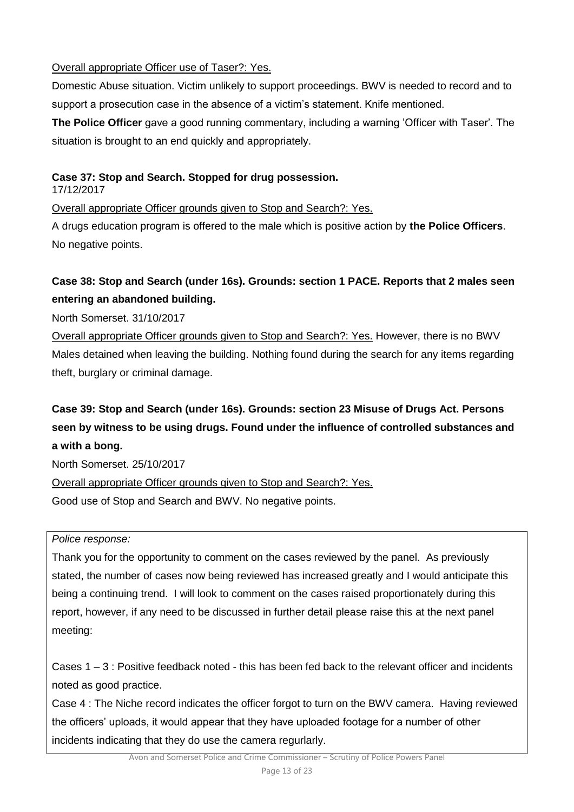## Overall appropriate Officer use of Taser?: Yes.

Domestic Abuse situation. Victim unlikely to support proceedings. BWV is needed to record and to support a prosecution case in the absence of a victim's statement. Knife mentioned.

**The Police Officer** gave a good running commentary, including a warning 'Officer with Taser'. The situation is brought to an end quickly and appropriately.

## **Case 37: Stop and Search. Stopped for drug possession.**

17/12/2017

Overall appropriate Officer grounds given to Stop and Search?: Yes.

A drugs education program is offered to the male which is positive action by **the Police Officers**. No negative points.

# **Case 38: Stop and Search (under 16s). Grounds: section 1 PACE. Reports that 2 males seen entering an abandoned building.**

North Somerset. 31/10/2017

Overall appropriate Officer grounds given to Stop and Search?: Yes. However, there is no BWV Males detained when leaving the building. Nothing found during the search for any items regarding theft, burglary or criminal damage.

# **Case 39: Stop and Search (under 16s). Grounds: section 23 Misuse of Drugs Act. Persons seen by witness to be using drugs. Found under the influence of controlled substances and a with a bong.**

North Somerset. 25/10/2017

Overall appropriate Officer grounds given to Stop and Search?: Yes.

Good use of Stop and Search and BWV. No negative points.

*Police response:*

Thank you for the opportunity to comment on the cases reviewed by the panel. As previously stated, the number of cases now being reviewed has increased greatly and I would anticipate this being a continuing trend. I will look to comment on the cases raised proportionately during this report, however, if any need to be discussed in further detail please raise this at the next panel meeting:

Cases  $1 - 3$ : Positive feedback noted - this has been fed back to the relevant officer and incidents noted as good practice.

Case 4 : The Niche record indicates the officer forgot to turn on the BWV camera. Having reviewed the officers' uploads, it would appear that they have uploaded footage for a number of other incidents indicating that they do use the camera regurlarly.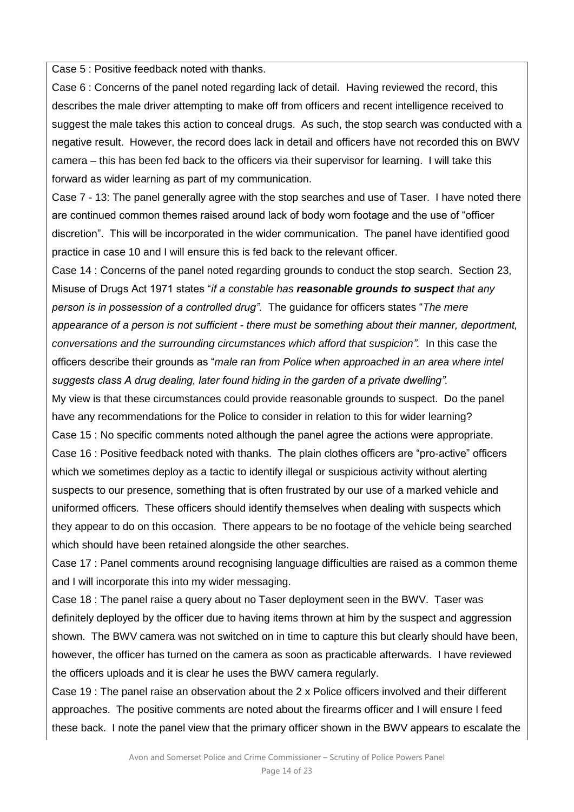Case 5 : Positive feedback noted with thanks.

Case 6 : Concerns of the panel noted regarding lack of detail. Having reviewed the record, this describes the male driver attempting to make off from officers and recent intelligence received to suggest the male takes this action to conceal drugs. As such, the stop search was conducted with a negative result. However, the record does lack in detail and officers have not recorded this on BWV camera – this has been fed back to the officers via their supervisor for learning. I will take this forward as wider learning as part of my communication.

Case 7 - 13: The panel generally agree with the stop searches and use of Taser. I have noted there are continued common themes raised around lack of body worn footage and the use of "officer discretion". This will be incorporated in the wider communication. The panel have identified good practice in case 10 and I will ensure this is fed back to the relevant officer.

Case 14 : Concerns of the panel noted regarding grounds to conduct the stop search. Section 23, Misuse of Drugs Act 1971 states "*if a constable has reasonable grounds to suspect that any person is in possession of a controlled drug".* The guidance for officers states "*The mere appearance of a person is not sufficient - there must be something about their manner, deportment, conversations and the surrounding circumstances which afford that suspicion".* In this case the officers describe their grounds as "*male ran from Police when approached in an area where intel suggests class A drug dealing, later found hiding in the garden of a private dwelling".*

My view is that these circumstances could provide reasonable grounds to suspect. Do the panel have any recommendations for the Police to consider in relation to this for wider learning? Case 15 : No specific comments noted although the panel agree the actions were appropriate. Case 16 : Positive feedback noted with thanks. The plain clothes officers are "pro-active" officers which we sometimes deploy as a tactic to identify illegal or suspicious activity without alerting suspects to our presence, something that is often frustrated by our use of a marked vehicle and uniformed officers. These officers should identify themselves when dealing with suspects which they appear to do on this occasion. There appears to be no footage of the vehicle being searched which should have been retained alongside the other searches.

Case 17 : Panel comments around recognising language difficulties are raised as a common theme and I will incorporate this into my wider messaging.

Case 18 : The panel raise a query about no Taser deployment seen in the BWV. Taser was definitely deployed by the officer due to having items thrown at him by the suspect and aggression shown. The BWV camera was not switched on in time to capture this but clearly should have been, however, the officer has turned on the camera as soon as practicable afterwards. I have reviewed the officers uploads and it is clear he uses the BWV camera regularly.

Case 19 : The panel raise an observation about the 2 x Police officers involved and their different approaches. The positive comments are noted about the firearms officer and I will ensure I feed these back. I note the panel view that the primary officer shown in the BWV appears to escalate the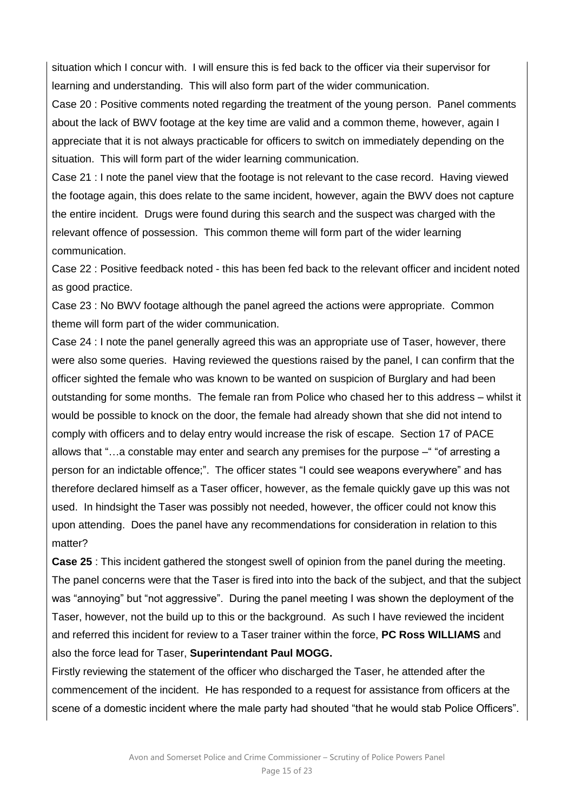situation which I concur with. I will ensure this is fed back to the officer via their supervisor for learning and understanding. This will also form part of the wider communication.

Case 20 : Positive comments noted regarding the treatment of the young person. Panel comments about the lack of BWV footage at the key time are valid and a common theme, however, again I appreciate that it is not always practicable for officers to switch on immediately depending on the situation. This will form part of the wider learning communication.

Case 21 : I note the panel view that the footage is not relevant to the case record. Having viewed the footage again, this does relate to the same incident, however, again the BWV does not capture the entire incident. Drugs were found during this search and the suspect was charged with the relevant offence of possession. This common theme will form part of the wider learning communication.

Case 22 : Positive feedback noted - this has been fed back to the relevant officer and incident noted as good practice.

Case 23 : No BWV footage although the panel agreed the actions were appropriate. Common theme will form part of the wider communication.

Case 24 : I note the panel generally agreed this was an appropriate use of Taser, however, there were also some queries. Having reviewed the questions raised by the panel, I can confirm that the officer sighted the female who was known to be wanted on suspicion of Burglary and had been outstanding for some months. The female ran from Police who chased her to this address – whilst it would be possible to knock on the door, the female had already shown that she did not intend to comply with officers and to delay entry would increase the risk of escape. Section 17 of PACE allows that "…a constable may enter and search any premises for the purpose –" "of arresting a person for an indictable offence;". The officer states "I could see weapons everywhere" and has therefore declared himself as a Taser officer, however, as the female quickly gave up this was not used. In hindsight the Taser was possibly not needed, however, the officer could not know this upon attending. Does the panel have any recommendations for consideration in relation to this matter?

**Case 25** : This incident gathered the stongest swell of opinion from the panel during the meeting. The panel concerns were that the Taser is fired into into the back of the subject, and that the subject was "annoying" but "not aggressive". During the panel meeting I was shown the deployment of the Taser, however, not the build up to this or the background. As such I have reviewed the incident and referred this incident for review to a Taser trainer within the force, **PC Ross WILLIAMS** and also the force lead for Taser, **Superintendant Paul MOGG.**

Firstly reviewing the statement of the officer who discharged the Taser, he attended after the commencement of the incident. He has responded to a request for assistance from officers at the scene of a domestic incident where the male party had shouted "that he would stab Police Officers".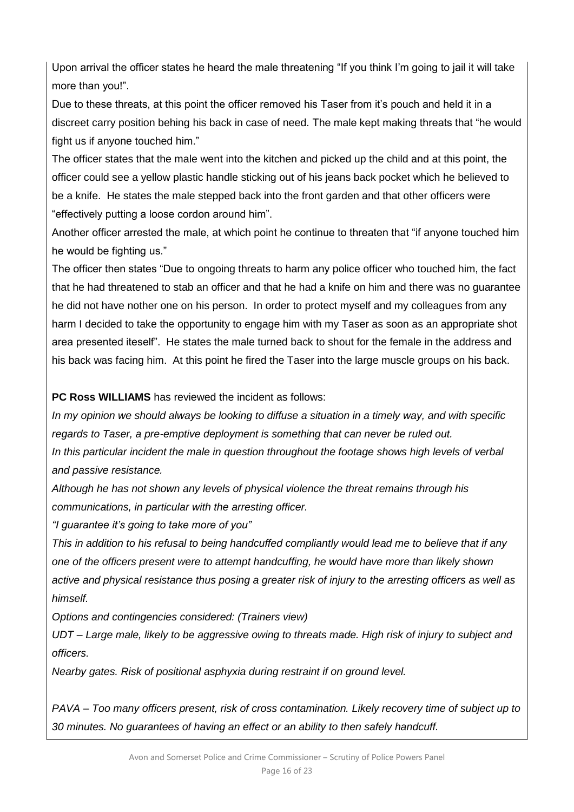Upon arrival the officer states he heard the male threatening "If you think I'm going to jail it will take more than you!".

Due to these threats, at this point the officer removed his Taser from it's pouch and held it in a discreet carry position behing his back in case of need. The male kept making threats that "he would fight us if anyone touched him."

The officer states that the male went into the kitchen and picked up the child and at this point, the officer could see a yellow plastic handle sticking out of his jeans back pocket which he believed to be a knife. He states the male stepped back into the front garden and that other officers were "effectively putting a loose cordon around him".

Another officer arrested the male, at which point he continue to threaten that "if anyone touched him he would be fighting us."

The officer then states "Due to ongoing threats to harm any police officer who touched him, the fact that he had threatened to stab an officer and that he had a knife on him and there was no guarantee he did not have nother one on his person. In order to protect myself and my colleagues from any harm I decided to take the opportunity to engage him with my Taser as soon as an appropriate shot area presented iteself". He states the male turned back to shout for the female in the address and his back was facing him. At this point he fired the Taser into the large muscle groups on his back.

**PC Ross WILLIAMS** has reviewed the incident as follows:

*In my opinion we should always be looking to diffuse a situation in a timely way, and with specific regards to Taser, a pre-emptive deployment is something that can never be ruled out. In this particular incident the male in question throughout the footage shows high levels of verbal and passive resistance.*

*Although he has not shown any levels of physical violence the threat remains through his communications, in particular with the arresting officer.* 

*"I guarantee it's going to take more of you"* 

*This in addition to his refusal to being handcuffed compliantly would lead me to believe that if any one of the officers present were to attempt handcuffing, he would have more than likely shown active and physical resistance thus posing a greater risk of injury to the arresting officers as well as himself.* 

*Options and contingencies considered: (Trainers view)* 

*UDT – Large male, likely to be aggressive owing to threats made. High risk of injury to subject and officers.*

*Nearby gates. Risk of positional asphyxia during restraint if on ground level.* 

*PAVA – Too many officers present, risk of cross contamination. Likely recovery time of subject up to 30 minutes. No guarantees of having an effect or an ability to then safely handcuff.*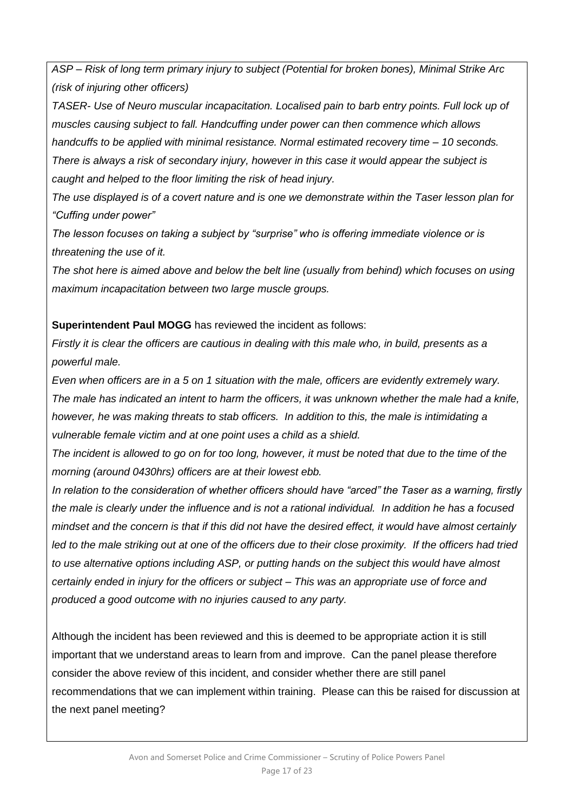*ASP – Risk of long term primary injury to subject (Potential for broken bones), Minimal Strike Arc (risk of injuring other officers)*

*TASER- Use of Neuro muscular incapacitation. Localised pain to barb entry points. Full lock up of muscles causing subject to fall. Handcuffing under power can then commence which allows handcuffs to be applied with minimal resistance. Normal estimated recovery time – 10 seconds. There is always a risk of secondary injury, however in this case it would appear the subject is caught and helped to the floor limiting the risk of head injury.* 

*The use displayed is of a covert nature and is one we demonstrate within the Taser lesson plan for "Cuffing under power"* 

*The lesson focuses on taking a subject by "surprise" who is offering immediate violence or is threatening the use of it.* 

*The shot here is aimed above and below the belt line (usually from behind) which focuses on using maximum incapacitation between two large muscle groups.*

### **Superintendent Paul MOGG** has reviewed the incident as follows:

*Firstly it is clear the officers are cautious in dealing with this male who, in build, presents as a powerful male.*

*Even when officers are in a 5 on 1 situation with the male, officers are evidently extremely wary. The male has indicated an intent to harm the officers, it was unknown whether the male had a knife, however, he was making threats to stab officers. In addition to this, the male is intimidating a vulnerable female victim and at one point uses a child as a shield.*

*The incident is allowed to go on for too long, however, it must be noted that due to the time of the morning (around 0430hrs) officers are at their lowest ebb.*

*In relation to the consideration of whether officers should have "arced" the Taser as a warning, firstly the male is clearly under the influence and is not a rational individual. In addition he has a focused mindset and the concern is that if this did not have the desired effect, it would have almost certainly led to the male striking out at one of the officers due to their close proximity. If the officers had tried to use alternative options including ASP, or putting hands on the subject this would have almost certainly ended in injury for the officers or subject – This was an appropriate use of force and produced a good outcome with no injuries caused to any party.*

Although the incident has been reviewed and this is deemed to be appropriate action it is still important that we understand areas to learn from and improve. Can the panel please therefore consider the above review of this incident, and consider whether there are still panel recommendations that we can implement within training. Please can this be raised for discussion at the next panel meeting?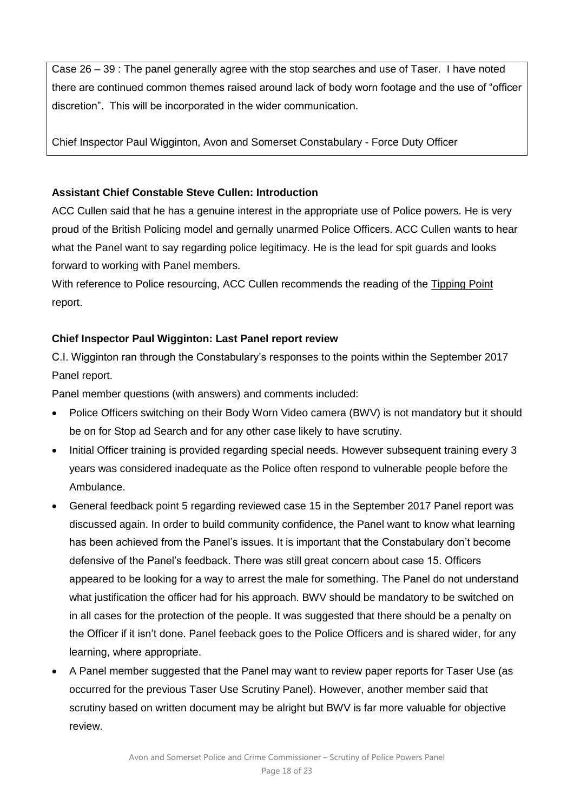Case 26 – 39 : The panel generally agree with the stop searches and use of Taser. I have noted there are continued common themes raised around lack of body worn footage and the use of "officer discretion". This will be incorporated in the wider communication.

Chief Inspector Paul Wigginton, Avon and Somerset Constabulary - Force Duty Officer

## **Assistant Chief Constable Steve Cullen: Introduction**

ACC Cullen said that he has a genuine interest in the appropriate use of Police powers. He is very proud of the British Policing model and gernally unarmed Police Officers. ACC Cullen wants to hear what the Panel want to say regarding police legitimacy. He is the lead for spit guards and looks forward to working with Panel members.

With reference to Police resourcing, ACC Cullen recommends the reading of the [Tipping Point](http://www.avonandsomerset-pcc.gov.uk/Document-Library/TERM-TWO/Finance/The-Tipping-Point.Sept-17.pdf) report.

## **Chief Inspector Paul Wigginton: Last Panel report review**

C.I. Wigginton ran through the Constabulary's responses to the points within the September 2017 Panel report.

Panel member questions (with answers) and comments included:

- Police Officers switching on their Body Worn Video camera (BWV) is not mandatory but it should be on for Stop ad Search and for any other case likely to have scrutiny.
- Initial Officer training is provided regarding special needs. However subsequent training every 3 years was considered inadequate as the Police often respond to vulnerable people before the Ambulance.
- General feedback point 5 regarding reviewed case 15 in the September 2017 Panel report was discussed again. In order to build community confidence, the Panel want to know what learning has been achieved from the Panel's issues. It is important that the Constabulary don't become defensive of the Panel's feedback. There was still great concern about case 15. Officers appeared to be looking for a way to arrest the male for something. The Panel do not understand what justification the officer had for his approach. BWV should be mandatory to be switched on in all cases for the protection of the people. It was suggested that there should be a penalty on the Officer if it isn't done. Panel feeback goes to the Police Officers and is shared wider, for any learning, where appropriate.
- A Panel member suggested that the Panel may want to review paper reports for Taser Use (as occurred for the previous Taser Use Scrutiny Panel). However, another member said that scrutiny based on written document may be alright but BWV is far more valuable for objective review.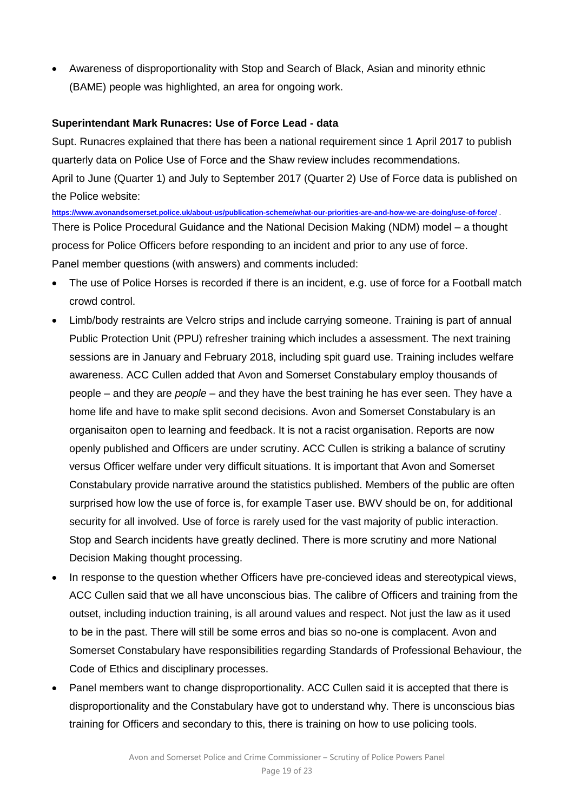Awareness of disproportionality with Stop and Search of Black, Asian and minority ethnic (BAME) people was highlighted, an area for ongoing work.

#### **Superintendant Mark Runacres: Use of Force Lead - data**

Supt. Runacres explained that there has been a national requirement since 1 April 2017 to publish quarterly data on Police Use of Force and the Shaw review includes recommendations. April to June (Quarter 1) and July to September 2017 (Quarter 2) Use of Force data is published on the Police website:

**<https://www.avonandsomerset.police.uk/about-us/publication-scheme/what-our-priorities-are-and-how-we-are-doing/use-of-force/>** . There is Police Procedural Guidance and the National Decision Making (NDM) model – a thought process for Police Officers before responding to an incident and prior to any use of force. Panel member questions (with answers) and comments included:

- The use of Police Horses is recorded if there is an incident, e.g. use of force for a Football match crowd control.
- Limb/body restraints are Velcro strips and include carrying someone. Training is part of annual Public Protection Unit (PPU) refresher training which includes a assessment. The next training sessions are in January and February 2018, including spit guard use. Training includes welfare awareness. ACC Cullen added that Avon and Somerset Constabulary employ thousands of people – and they are *people* – and they have the best training he has ever seen. They have a home life and have to make split second decisions. Avon and Somerset Constabulary is an organisaiton open to learning and feedback. It is not a racist organisation. Reports are now openly published and Officers are under scrutiny. ACC Cullen is striking a balance of scrutiny versus Officer welfare under very difficult situations. It is important that Avon and Somerset Constabulary provide narrative around the statistics published. Members of the public are often surprised how low the use of force is, for example Taser use. BWV should be on, for additional security for all involved. Use of force is rarely used for the vast majority of public interaction. Stop and Search incidents have greatly declined. There is more scrutiny and more National Decision Making thought processing.
- In response to the question whether Officers have pre-concieved ideas and stereotypical views, ACC Cullen said that we all have unconscious bias. The calibre of Officers and training from the outset, including induction training, is all around values and respect. Not just the law as it used to be in the past. There will still be some erros and bias so no-one is complacent. Avon and Somerset Constabulary have responsibilities regarding Standards of Professional Behaviour, the Code of Ethics and disciplinary processes.
- Panel members want to change disproportionality. ACC Cullen said it is accepted that there is disproportionality and the Constabulary have got to understand why. There is unconscious bias training for Officers and secondary to this, there is training on how to use policing tools.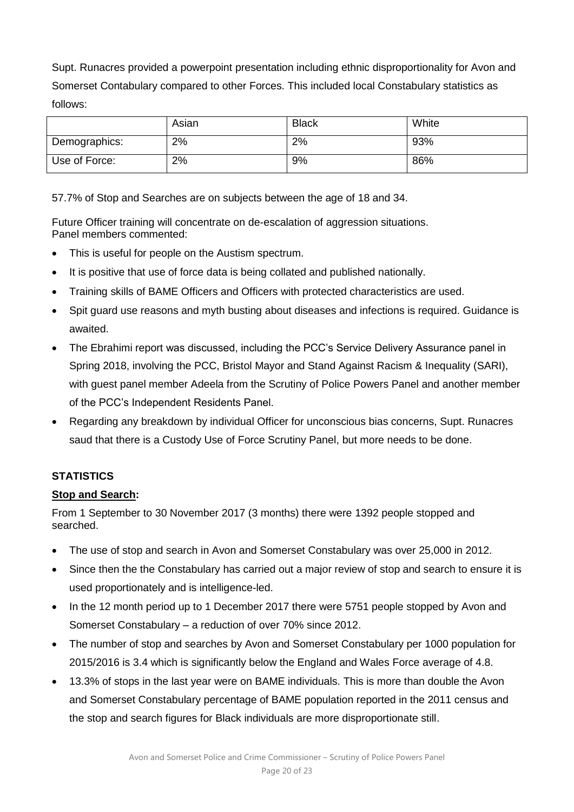Supt. Runacres provided a powerpoint presentation including ethnic disproportionality for Avon and Somerset Contabulary compared to other Forces. This included local Constabulary statistics as follows:

|               | Asian | <b>Black</b> | White |
|---------------|-------|--------------|-------|
| Demographics: | 2%    | 2%           | 93%   |
| Use of Force: | 2%    | 9%           | 86%   |

57.7% of Stop and Searches are on subjects between the age of 18 and 34.

Future Officer training will concentrate on de-escalation of aggression situations. Panel members commented:

- This is useful for people on the Austism spectrum.
- It is positive that use of force data is being collated and published nationally.
- Training skills of BAME Officers and Officers with protected characteristics are used.
- Spit guard use reasons and myth busting about diseases and infections is required. Guidance is awaited.
- The Ebrahimi report was discussed, including the PCC's Service Delivery Assurance panel in Spring 2018, involving the PCC, Bristol Mayor and Stand Against Racism & Inequality (SARI), with guest panel member Adeela from the Scrutiny of Police Powers Panel and another member of the PCC's Independent Residents Panel.
- Regarding any breakdown by individual Officer for unconscious bias concerns, Supt. Runacres saud that there is a Custody Use of Force Scrutiny Panel, but more needs to be done.

## **STATISTICS**

### **Stop and Search:**

From 1 September to 30 November 2017 (3 months) there were 1392 people stopped and searched.

- The use of stop and search in Avon and Somerset Constabulary was over 25,000 in 2012.
- Since then the the Constabulary has carried out a major review of stop and search to ensure it is used proportionately and is intelligence-led.
- In the 12 month period up to 1 December 2017 there were 5751 people stopped by Avon and Somerset Constabulary – a reduction of over 70% since 2012.
- The number of stop and searches by Avon and Somerset Constabulary per 1000 population for 2015/2016 is 3.4 which is significantly below the England and Wales Force average of 4.8.
- 13.3% of stops in the last year were on BAME individuals. This is more than double the Avon and Somerset Constabulary percentage of BAME population reported in the 2011 census and the stop and search figures for Black individuals are more disproportionate still.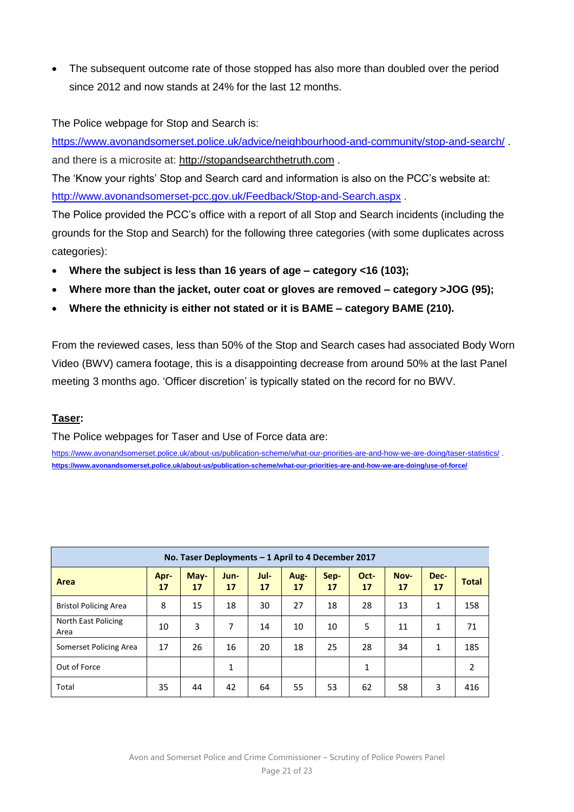The subsequent outcome rate of those stopped has also more than doubled over the period since 2012 and now stands at 24% for the last 12 months.

The Police webpage for Stop and Search is:

<https://www.avonandsomerset.police.uk/advice/neighbourhood-and-community/stop-and-search/> . and there is a microsite at: [http://stopandsearchthetruth.com](http://stopandsearchthetruth.com/) .

The 'Know your rights' Stop and Search card and information is also on the PCC's website at: <http://www.avonandsomerset-pcc.gov.uk/Feedback/Stop-and-Search.aspx> .

The Police provided the PCC's office with a report of all Stop and Search incidents (including the grounds for the Stop and Search) for the following three categories (with some duplicates across categories):

- **Where the subject is less than 16 years of age – category <16 (103);**
- **Where more than the jacket, outer coat or gloves are removed – category >JOG (95);**
- **Where the ethnicity is either not stated or it is BAME – category BAME (210).**

From the reviewed cases, less than 50% of the Stop and Search cases had associated Body Worn Video (BWV) camera footage, this is a disappointing decrease from around 50% at the last Panel meeting 3 months ago. 'Officer discretion' is typically stated on the record for no BWV.

## **Taser:**

The Police webpages for Taser and Use of Force data are:

<https://www.avonandsomerset.police.uk/about-us/publication-scheme/what-our-priorities-are-and-how-we-are-doing/taser-statistics/> . **<https://www.avonandsomerset.police.uk/about-us/publication-scheme/what-our-priorities-are-and-how-we-are-doing/use-of-force/>**

| No. Taser Deployments - 1 April to 4 December 2017 |            |            |              |            |            |            |              |            |              |                |
|----------------------------------------------------|------------|------------|--------------|------------|------------|------------|--------------|------------|--------------|----------------|
| Area                                               | Apr-<br>17 | May-<br>17 | Jun-<br>17   | Jul-<br>17 | Aug-<br>17 | Sep-<br>17 | Oct-<br>17   | Nov-<br>17 | Dec-<br>17   | <b>Total</b>   |
| <b>Bristol Policing Area</b>                       | 8          | 15         | 18           | 30         | 27         | 18         | 28           | 13         | $\mathbf{1}$ | 158            |
| North East Policing<br>Area                        | 10         | 3          | 7            | 14         | 10         | 10         | 5            | 11         | $\mathbf{1}$ | 71             |
| Somerset Policing Area                             | 17         | 26         | 16           | 20         | 18         | 25         | 28           | 34         | $\mathbf{1}$ | 185            |
| Out of Force                                       |            |            | $\mathbf{1}$ |            |            |            | $\mathbf{1}$ |            |              | $\overline{2}$ |
| Total                                              | 35         | 44         | 42           | 64         | 55         | 53         | 62           | 58         | 3            | 416            |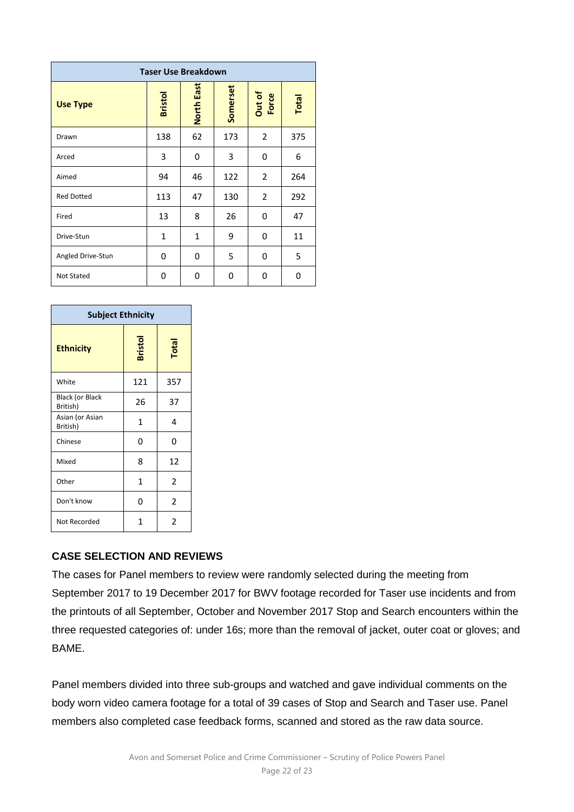| <b>Taser Use Breakdown</b> |                |                   |          |                 |       |  |
|----------------------------|----------------|-------------------|----------|-----------------|-------|--|
| <b>Use Type</b>            | <b>Bristol</b> | <b>North East</b> | Somerset | Out of<br>Force | Total |  |
| Drawn                      | 138            | 62                | 173      | $\overline{2}$  | 375   |  |
| Arced                      | 3              | 0                 | 3        | 0               | 6     |  |
| Aimed                      | 94             | 46                | 122      | 2               | 264   |  |
| <b>Red Dotted</b>          | 113            | 47                | 130      | 2               | 292   |  |
| Fired                      | 13             | 8                 | 26       | 0               | 47    |  |
| Drive-Stun                 | $\mathbf{1}$   | $\mathbf{1}$      | 9        | 0               | 11    |  |
| Angled Drive-Stun          | 0              | 0                 | 5        | 0               | 5     |  |
| Not Stated                 | 0              | 0                 | 0        | 0               | 0     |  |

| <b>Subject Ethnicity</b>           |                |                |  |  |  |
|------------------------------------|----------------|----------------|--|--|--|
| <b>Ethnicity</b>                   | <b>Bristol</b> | Total          |  |  |  |
| White                              | 121            | 357            |  |  |  |
| <b>Black (or Black</b><br>British) | 26             | 37             |  |  |  |
| Asian (or Asian<br>British)        | 1              | 4              |  |  |  |
| Chinese                            | 0              | 0              |  |  |  |
| Mixed                              | 8              | 12             |  |  |  |
| Other                              | $\mathbf{1}$   | 2              |  |  |  |
| Don't know                         | N              | $\overline{2}$ |  |  |  |
| Not Recorded                       | 1              | 2              |  |  |  |

### **CASE SELECTION AND REVIEWS**

The cases for Panel members to review were randomly selected during the meeting from September 2017 to 19 December 2017 for BWV footage recorded for Taser use incidents and from the printouts of all September, October and November 2017 Stop and Search encounters within the three requested categories of: under 16s; more than the removal of jacket, outer coat or gloves; and **BAME** 

Panel members divided into three sub-groups and watched and gave individual comments on the body worn video camera footage for a total of 39 cases of Stop and Search and Taser use. Panel members also completed case feedback forms, scanned and stored as the raw data source.